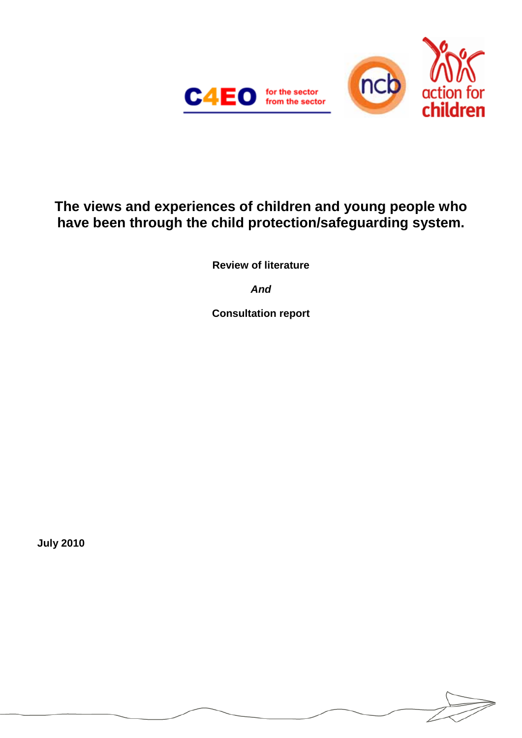

# **The views and experiences of children and young people who have been through the child protection/safeguarding system.**

**Review of literature**

*And*

**Consultation report** 

**July 2010**

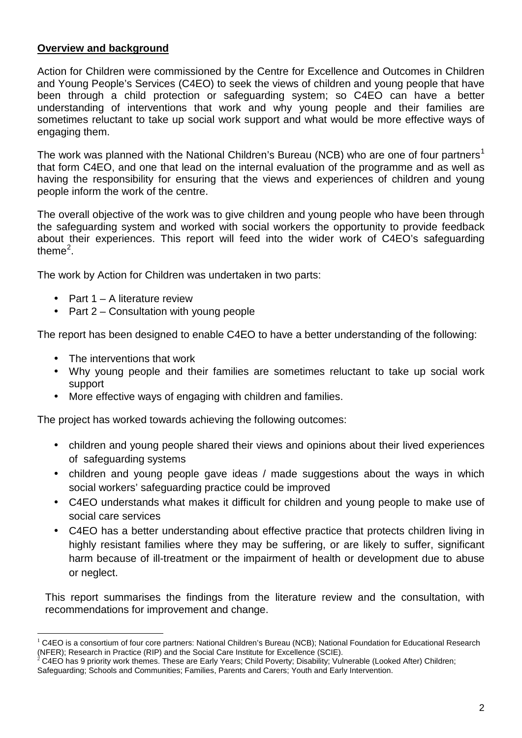## **Overview and background**

Action for Children were commissioned by the Centre for Excellence and Outcomes in Children and Young People's Services (C4EO) to seek the views of children and young people that have been through a child protection or safeguarding system; so C4EO can have a better understanding of interventions that work and why young people and their families are sometimes reluctant to take up social work support and what would be more effective ways of engaging them.

The work was planned with the National Children's Bureau (NCB) who are one of four partners<sup>[1](#page-1-0)</sup> that form C4EO, and one that lead on the internal evaluation of the programme and as well as having the responsibility for ensuring that the views and experiences of children and young people inform the work of the centre.

The overall objective of the work was to give children and young people who have been through the safeguarding system and worked with social workers the opportunity to provide feedback about their experiences. This report will feed into the wider work of C4EO's safeguarding theme<sup>[2](#page-1-1)</sup>.

The work by Action for Children was undertaken in two parts:

- Part 1 A literature review
- $\mathcal{L}^{\text{max}}$ Part 2 – Consultation with young people

The report has been designed to enable C4EO to have a better understanding of the following:

- The interventions that work
- Why young people and their families are sometimes reluctant to take up social work support
- More effective ways of engaging with children and families.

The project has worked towards achieving the following outcomes:

- children and young people shared their views and opinions about their lived experiences  $\mathbf{r}$ of safeguarding systems
- children and young people gave ideas / made suggestions about the ways in which  $\mathbf{r}$ social workers' safeguarding practice could be improved
- C4EO understands what makes it difficult for children and young people to make use of social care services
- C4EO has a better understanding about effective practice that protects children living in highly resistant families where they may be suffering, or are likely to suffer, significant harm because of ill-treatment or the impairment of health or development due to abuse or neglect.

This report summarises the findings from the literature review and the consultation, with recommendations for improvement and change.

<span id="page-1-0"></span> $1$  C4EO is a consortium of four core partners: National Children's Bureau (NCB); National Foundation for Educational Research<br>(NFER); Research in Practice (RIP) and the Social Care Institute for Excellence (SCIE).

<span id="page-1-1"></span>C4EO has 9 priority work themes. These are Early Years; Child Poverty; Disability; Vulnerable (Looked After) Children; Safeguarding; Schools and Communities; Families, Parents and Carers; Youth and Early Intervention.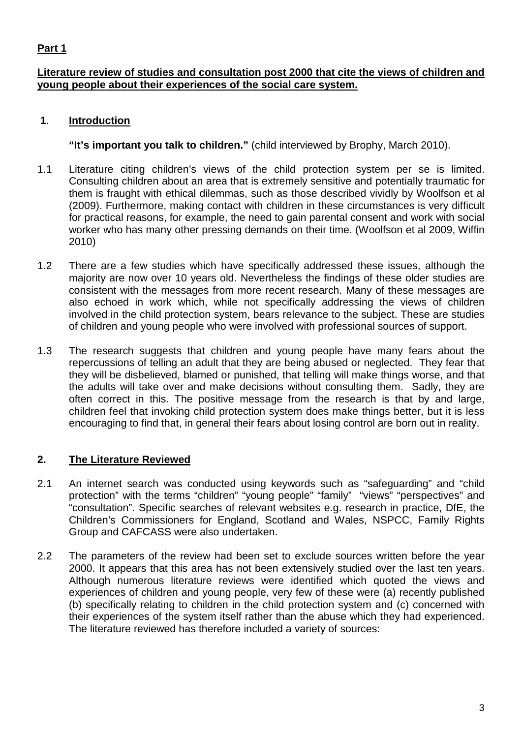## **Part 1**

## **Literature review of studies and consultation post 2000 that cite the views of children and young people about their experiences of the social care system.**

## **1**. **Introduction**

**"It's important you talk to children."** (child interviewed by Brophy, March 2010).

- 1.1 Literature citing children's views of the child protection system per se is limited. Consulting children about an area that is extremely sensitive and potentially traumatic for them is fraught with ethical dilemmas, such as those described vividly by Woolfson et al (2009). Furthermore, making contact with children in these circumstances is very difficult for practical reasons, for example, the need to gain parental consent and work with social worker who has many other pressing demands on their time. (Woolfson et al 2009, Wiffin 2010)
- 1.2 There are a few studies which have specifically addressed these issues, although the majority are now over 10 years old. Nevertheless the findings of these older studies are consistent with the messages from more recent research. Many of these messages are also echoed in work which, while not specifically addressing the views of children involved in the child protection system, bears relevance to the subject. These are studies of children and young people who were involved with professional sources of support.
- 1.3 The research suggests that children and young people have many fears about the repercussions of telling an adult that they are being abused or neglected. They fear that they will be disbelieved, blamed or punished, that telling will make things worse, and that the adults will take over and make decisions without consulting them. Sadly, they are often correct in this. The positive message from the research is that by and large, children feel that invoking child protection system does make things better, but it is less encouraging to find that, in general their fears about losing control are born out in reality.

## **2. The Literature Reviewed**

- 2.1 An internet search was conducted using keywords such as "safeguarding" and "child protection" with the terms "children" "young people" "family" "views" "perspectives" and "consultation". Specific searches of relevant websites e.g. research in practice, DfE, the Children's Commissioners for England, Scotland and Wales, NSPCC, Family Rights Group and CAFCASS were also undertaken.
- 2.2 The parameters of the review had been set to exclude sources written before the year 2000. It appears that this area has not been extensively studied over the last ten years. Although numerous literature reviews were identified which quoted the views and experiences of children and young people, very few of these were (a) recently published (b) specifically relating to children in the child protection system and (c) concerned with their experiences of the system itself rather than the abuse which they had experienced. The literature reviewed has therefore included a variety of sources: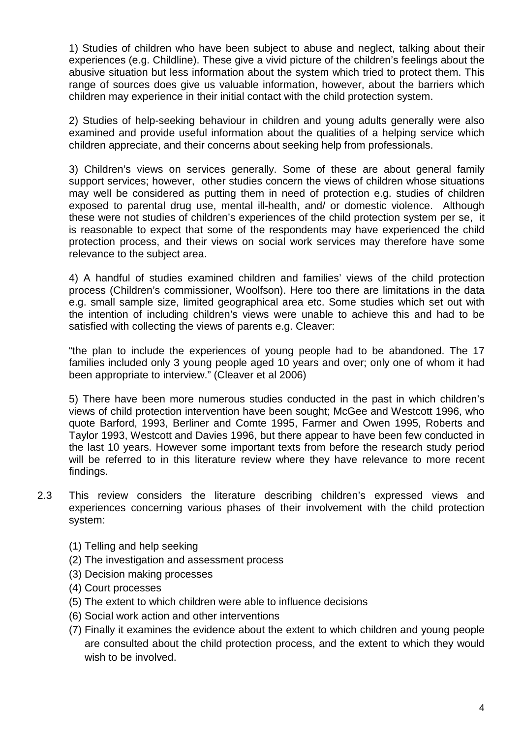1) Studies of children who have been subject to abuse and neglect, talking about their experiences (e.g. Childline). These give a vivid picture of the children's feelings about the abusive situation but less information about the system which tried to protect them. This range of sources does give us valuable information, however, about the barriers which children may experience in their initial contact with the child protection system.

2) Studies of help-seeking behaviour in children and young adults generally were also examined and provide useful information about the qualities of a helping service which children appreciate, and their concerns about seeking help from professionals.

3) Children's views on services generally. Some of these are about general family support services; however, other studies concern the views of children whose situations may well be considered as putting them in need of protection e.g. studies of children exposed to parental drug use, mental ill-health, and/ or domestic violence. Although these were not studies of children's experiences of the child protection system per se, it is reasonable to expect that some of the respondents may have experienced the child protection process, and their views on social work services may therefore have some relevance to the subject area.

4) A handful of studies examined children and families' views of the child protection process (Children's commissioner, Woolfson). Here too there are limitations in the data e.g. small sample size, limited geographical area etc. Some studies which set out with the intention of including children's views were unable to achieve this and had to be satisfied with collecting the views of parents e.g. Cleaver:

"the plan to include the experiences of young people had to be abandoned. The 17 families included only 3 young people aged 10 years and over; only one of whom it had been appropriate to interview." (Cleaver et al 2006)

5) There have been more numerous studies conducted in the past in which children's views of child protection intervention have been sought; McGee and Westcott 1996, who quote Barford, 1993, Berliner and Comte 1995, Farmer and Owen 1995, Roberts and Taylor 1993, Westcott and Davies 1996, but there appear to have been few conducted in the last 10 years. However some important texts from before the research study period will be referred to in this literature review where they have relevance to more recent findings.

- 2.3 This review considers the literature describing children's expressed views and experiences concerning various phases of their involvement with the child protection system:
	- (1) Telling and help seeking
	- (2) The investigation and assessment process
	- (3) Decision making processes
	- (4) Court processes
	- (5) The extent to which children were able to influence decisions
	- (6) Social work action and other interventions
	- (7) Finally it examines the evidence about the extent to which children and young people are consulted about the child protection process, and the extent to which they would wish to be involved.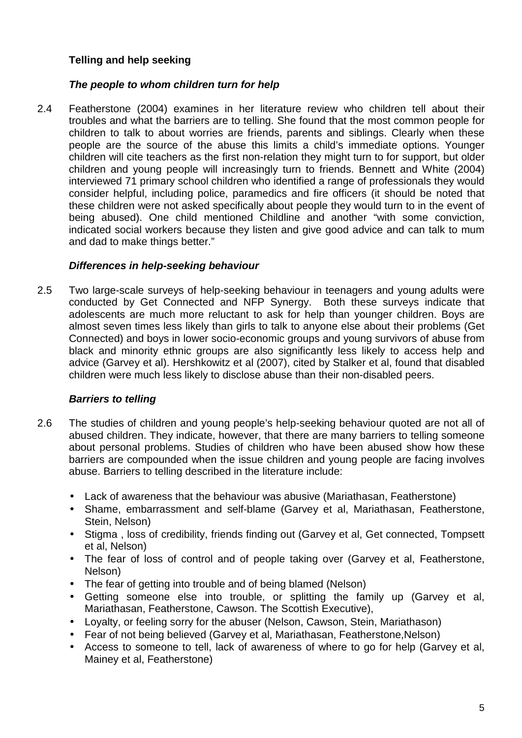## **Telling and help seeking**

## *The people to whom children turn for help*

2.4 Featherstone (2004) examines in her literature review who children tell about their troubles and what the barriers are to telling. She found that the most common people for children to talk to about worries are friends, parents and siblings. Clearly when these people are the source of the abuse this limits a child's immediate options. Younger children will cite teachers as the first non-relation they might turn to for support, but older children and young people will increasingly turn to friends. Bennett and White (2004) interviewed 71 primary school children who identified a range of professionals they would consider helpful, including police, paramedics and fire officers (it should be noted that these children were not asked specifically about people they would turn to in the event of being abused). One child mentioned Childline and another "with some conviction, indicated social workers because they listen and give good advice and can talk to mum and dad to make things better."

## *Differences in help-seeking behaviour*

2.5 Two large-scale surveys of help-seeking behaviour in teenagers and young adults were conducted by Get Connected and NFP Synergy. Both these surveys indicate that adolescents are much more reluctant to ask for help than younger children. Boys are almost seven times less likely than girls to talk to anyone else about their problems (Get Connected) and boys in lower socio-economic groups and young survivors of abuse from black and minority ethnic groups are also significantly less likely to access help and advice (Garvey et al). Hershkowitz et al (2007), cited by Stalker et al, found that disabled children were much less likely to disclose abuse than their non-disabled peers.

## *Barriers to telling*

- 2.6 The studies of children and young people's help-seeking behaviour quoted are not all of abused children. They indicate, however, that there are many barriers to telling someone about personal problems. Studies of children who have been abused show how these barriers are compounded when the issue children and young people are facing involves abuse. Barriers to telling described in the literature include:
	- Lack of awareness that the behaviour was abusive (Mariathasan, Featherstone)
	- Shame, embarrassment and self-blame (Garvey et al, Mariathasan, Featherstone,  $\mathbf{r}$ Stein, Nelson)
	- Stigma , loss of credibility, friends finding out (Garvey et al, Get connected, Tompsett  $\mathbf{r}$ et al, Nelson)
	- The fear of loss of control and of people taking over (Garvey et al, Featherstone, Nelson)
	- The fear of getting into trouble and of being blamed (Nelson)
	- Getting someone else into trouble, or splitting the family up (Garvey et al,  $\mathbf{r}$ Mariathasan, Featherstone, Cawson. The Scottish Executive),
	- Loyalty, or feeling sorry for the abuser (Nelson, Cawson, Stein, Mariathason)
	- Fear of not being believed (Garvey et al, Mariathasan, Featherstone,Nelson)
	- Access to someone to tell, lack of awareness of where to go for help (Garvey et al, Mainey et al, Featherstone)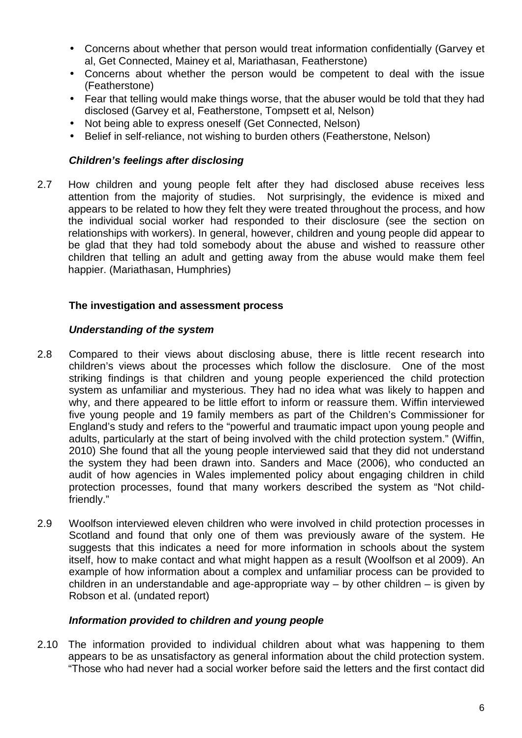- Concerns about whether that person would treat information confidentially (Garvey et al, Get Connected, Mainey et al, Mariathasan, Featherstone)
- Concerns about whether the person would be competent to deal with the issue (Featherstone)
- Fear that telling would make things worse, that the abuser would be told that they had disclosed (Garvey et al, Featherstone, Tompsett et al, Nelson)
- Not being able to express oneself (Get Connected, Nelson)
- Belief in self-reliance, not wishing to burden others (Featherstone, Nelson)

## *Children's feelings after disclosing*

2.7 How children and young people felt after they had disclosed abuse receives less attention from the majority of studies. Not surprisingly, the evidence is mixed and appears to be related to how they felt they were treated throughout the process, and how the individual social worker had responded to their disclosure (see the section on relationships with workers). In general, however, children and young people did appear to be glad that they had told somebody about the abuse and wished to reassure other children that telling an adult and getting away from the abuse would make them feel happier. (Mariathasan, Humphries)

## **The investigation and assessment process**

## *Understanding of the system*

- 2.8 Compared to their views about disclosing abuse, there is little recent research into children's views about the processes which follow the disclosure. One of the most striking findings is that children and young people experienced the child protection system as unfamiliar and mysterious. They had no idea what was likely to happen and why, and there appeared to be little effort to inform or reassure them. Wiffin interviewed five young people and 19 family members as part of the Children's Commissioner for England's study and refers to the "powerful and traumatic impact upon young people and adults, particularly at the start of being involved with the child protection system." (Wiffin, 2010) She found that all the young people interviewed said that they did not understand the system they had been drawn into. Sanders and Mace (2006), who conducted an audit of how agencies in Wales implemented policy about engaging children in child protection processes, found that many workers described the system as "Not childfriendly."
- 2.9 Woolfson interviewed eleven children who were involved in child protection processes in Scotland and found that only one of them was previously aware of the system. He suggests that this indicates a need for more information in schools about the system itself, how to make contact and what might happen as a result (Woolfson et al 2009). An example of how information about a complex and unfamiliar process can be provided to children in an understandable and age-appropriate way – by other children – is given by Robson et al. (undated report)

### *Information provided to children and young people*

2.10 The information provided to individual children about what was happening to them appears to be as unsatisfactory as general information about the child protection system. "Those who had never had a social worker before said the letters and the first contact did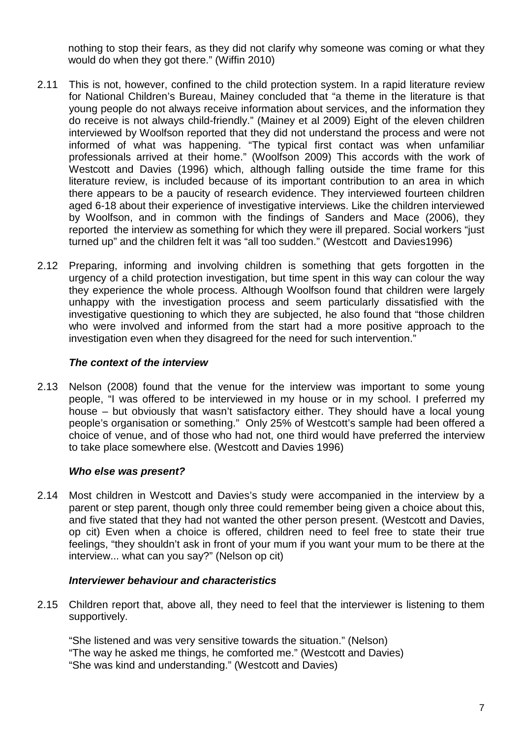nothing to stop their fears, as they did not clarify why someone was coming or what they would do when they got there." (Wiffin 2010)

- 2.11 This is not, however, confined to the child protection system. In a rapid literature review for National Children's Bureau, Mainey concluded that "a theme in the literature is that young people do not always receive information about services, and the information they do receive is not always child-friendly." (Mainey et al 2009) Eight of the eleven children interviewed by Woolfson reported that they did not understand the process and were not informed of what was happening. "The typical first contact was when unfamiliar professionals arrived at their home." (Woolfson 2009) This accords with the work of Westcott and Davies (1996) which, although falling outside the time frame for this literature review, is included because of its important contribution to an area in which there appears to be a paucity of research evidence. They interviewed fourteen children aged 6-18 about their experience of investigative interviews. Like the children interviewed by Woolfson, and in common with the findings of Sanders and Mace (2006), they reported the interview as something for which they were ill prepared. Social workers "just turned up" and the children felt it was "all too sudden." (Westcott and Davies1996)
- 2.12 Preparing, informing and involving children is something that gets forgotten in the urgency of a child protection investigation, but time spent in this way can colour the way they experience the whole process. Although Woolfson found that children were largely unhappy with the investigation process and seem particularly dissatisfied with the investigative questioning to which they are subjected, he also found that "those children who were involved and informed from the start had a more positive approach to the investigation even when they disagreed for the need for such intervention."

### *The context of the interview*

2.13 Nelson (2008) found that the venue for the interview was important to some young people, "I was offered to be interviewed in my house or in my school. I preferred my house – but obviously that wasn't satisfactory either. They should have a local young people's organisation or something." Only 25% of Westcott's sample had been offered a choice of venue, and of those who had not, one third would have preferred the interview to take place somewhere else. (Westcott and Davies 1996)

## *Who else was present?*

2.14 Most children in Westcott and Davies's study were accompanied in the interview by a parent or step parent, though only three could remember being given a choice about this, and five stated that they had not wanted the other person present. (Westcott and Davies, op cit) Even when a choice is offered, children need to feel free to state their true feelings, "they shouldn't ask in front of your mum if you want your mum to be there at the interview... what can you say?" (Nelson op cit)

## *Interviewer behaviour and characteristics*

2.15 Children report that, above all, they need to feel that the interviewer is listening to them supportively.

"She listened and was very sensitive towards the situation." (Nelson) "The way he asked me things, he comforted me." (Westcott and Davies) "She was kind and understanding." (Westcott and Davies)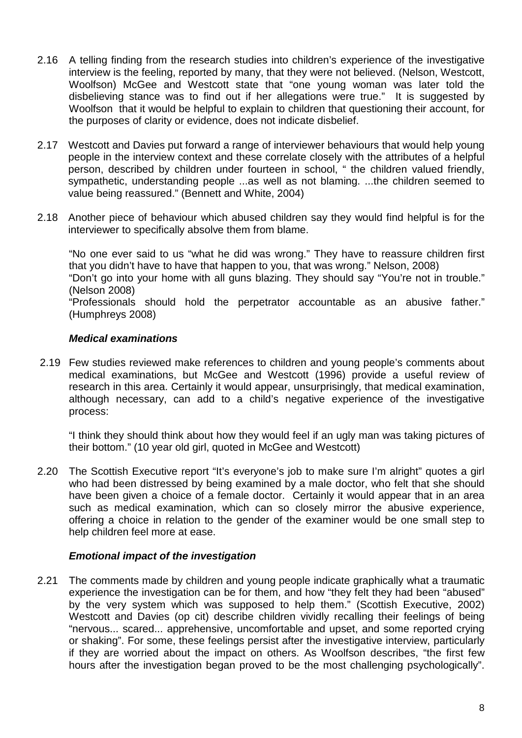- 2.16 A telling finding from the research studies into children's experience of the investigative interview is the feeling, reported by many, that they were not believed. (Nelson, Westcott, Woolfson) McGee and Westcott state that "one young woman was later told the disbelieving stance was to find out if her allegations were true." It is suggested by Woolfson that it would be helpful to explain to children that questioning their account, for the purposes of clarity or evidence, does not indicate disbelief.
- 2.17 Westcott and Davies put forward a range of interviewer behaviours that would help young people in the interview context and these correlate closely with the attributes of a helpful person, described by children under fourteen in school, " the children valued friendly. sympathetic, understanding people ...as well as not blaming. ...the children seemed to value being reassured." (Bennett and White, 2004)
- 2.18 Another piece of behaviour which abused children say they would find helpful is for the interviewer to specifically absolve them from blame.

"No one ever said to us "what he did was wrong." They have to reassure children first that you didn't have to have that happen to you, that was wrong." Nelson, 2008)

"Don't go into your home with all guns blazing. They should say "You're not in trouble." (Nelson 2008)

"Professionals should hold the perpetrator accountable as an abusive father." (Humphreys 2008)

### *Medical examinations*

2.19 Few studies reviewed make references to children and young people's comments about medical examinations, but McGee and Westcott (1996) provide a useful review of research in this area. Certainly it would appear, unsurprisingly, that medical examination, although necessary, can add to a child's negative experience of the investigative process:

"I think they should think about how they would feel if an ugly man was taking pictures of their bottom." (10 year old girl, quoted in McGee and Westcott)

2.20 The Scottish Executive report "It's everyone's job to make sure I'm alright" quotes a girl who had been distressed by being examined by a male doctor, who felt that she should have been given a choice of a female doctor. Certainly it would appear that in an area such as medical examination, which can so closely mirror the abusive experience, offering a choice in relation to the gender of the examiner would be one small step to help children feel more at ease.

### *Emotional impact of the investigation*

2.21 The comments made by children and young people indicate graphically what a traumatic experience the investigation can be for them, and how "they felt they had been "abused" by the very system which was supposed to help them." (Scottish Executive, 2002) Westcott and Davies (op cit) describe children vividly recalling their feelings of being "nervous... scared... apprehensive, uncomfortable and upset, and some reported crying or shaking". For some, these feelings persist after the investigative interview, particularly if they are worried about the impact on others. As Woolfson describes, "the first few hours after the investigation began proved to be the most challenging psychologically".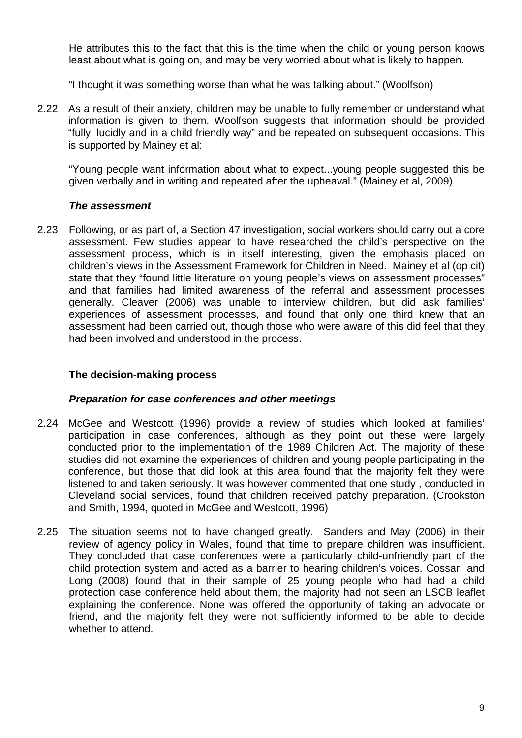He attributes this to the fact that this is the time when the child or young person knows least about what is going on, and may be very worried about what is likely to happen.

"I thought it was something worse than what he was talking about." (Woolfson)

2.22 As a result of their anxiety, children may be unable to fully remember or understand what information is given to them. Woolfson suggests that information should be provided "fully, lucidly and in a child friendly way" and be repeated on subsequent occasions. This is supported by Mainey et al:

"Young people want information about what to expect...young people suggested this be given verbally and in writing and repeated after the upheaval." (Mainey et al, 2009)

### *The assessment*

2.23 Following, or as part of, a Section 47 investigation, social workers should carry out a core assessment. Few studies appear to have researched the child's perspective on the assessment process, which is in itself interesting, given the emphasis placed on children's views in the Assessment Framework for Children in Need. Mainey et al (op cit) state that they "found little literature on young people's views on assessment processes" and that families had limited awareness of the referral and assessment processes generally. Cleaver (2006) was unable to interview children, but did ask families' experiences of assessment processes, and found that only one third knew that an assessment had been carried out, though those who were aware of this did feel that they had been involved and understood in the process.

## **The decision-making process**

### *Preparation for case conferences and other meetings*

- 2.24 McGee and Westcott (1996) provide a review of studies which looked at families' participation in case conferences, although as they point out these were largely conducted prior to the implementation of the 1989 Children Act. The majority of these studies did not examine the experiences of children and young people participating in the conference, but those that did look at this area found that the majority felt they were listened to and taken seriously. It was however commented that one study , conducted in Cleveland social services, found that children received patchy preparation. (Crookston and Smith, 1994, quoted in McGee and Westcott, 1996)
- 2.25 The situation seems not to have changed greatly. Sanders and May (2006) in their review of agency policy in Wales, found that time to prepare children was insufficient. They concluded that case conferences were a particularly child-unfriendly part of the child protection system and acted as a barrier to hearing children's voices. Cossar and Long (2008) found that in their sample of 25 young people who had had a child protection case conference held about them, the majority had not seen an LSCB leaflet explaining the conference. None was offered the opportunity of taking an advocate or friend, and the majority felt they were not sufficiently informed to be able to decide whether to attend.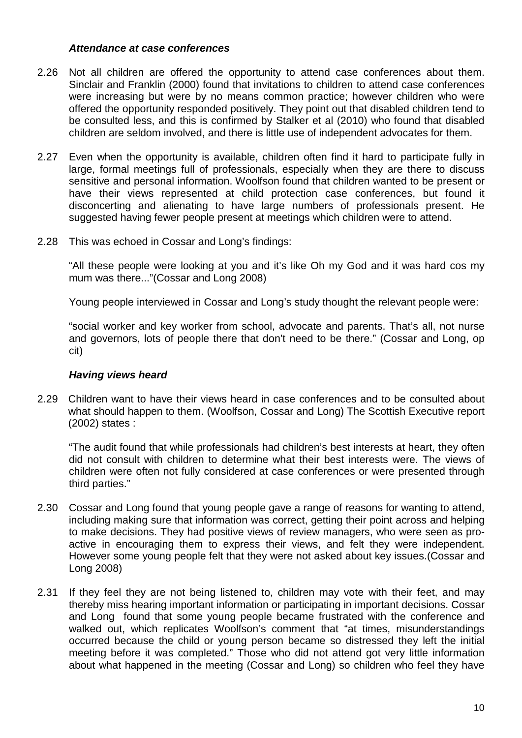### *Attendance at case conferences*

- 2.26 Not all children are offered the opportunity to attend case conferences about them. Sinclair and Franklin (2000) found that invitations to children to attend case conferences were increasing but were by no means common practice; however children who were offered the opportunity responded positively. They point out that disabled children tend to be consulted less, and this is confirmed by Stalker et al (2010) who found that disabled children are seldom involved, and there is little use of independent advocates for them.
- 2.27 Even when the opportunity is available, children often find it hard to participate fully in large, formal meetings full of professionals, especially when they are there to discuss sensitive and personal information. Woolfson found that children wanted to be present or have their views represented at child protection case conferences, but found it disconcerting and alienating to have large numbers of professionals present. He suggested having fewer people present at meetings which children were to attend.
- 2.28 This was echoed in Cossar and Long's findings:

"All these people were looking at you and it's like Oh my God and it was hard cos my mum was there..."(Cossar and Long 2008)

Young people interviewed in Cossar and Long's study thought the relevant people were:

"social worker and key worker from school, advocate and parents. That's all, not nurse and governors, lots of people there that don't need to be there." (Cossar and Long, op cit)

### *Having views heard*

2.29 Children want to have their views heard in case conferences and to be consulted about what should happen to them. (Woolfson, Cossar and Long) The Scottish Executive report (2002) states :

"The audit found that while professionals had children's best interests at heart, they often did not consult with children to determine what their best interests were. The views of children were often not fully considered at case conferences or were presented through third parties."

- 2.30 Cossar and Long found that young people gave a range of reasons for wanting to attend, including making sure that information was correct, getting their point across and helping to make decisions. They had positive views of review managers, who were seen as proactive in encouraging them to express their views, and felt they were independent. However some young people felt that they were not asked about key issues.(Cossar and Long 2008)
- 2.31 If they feel they are not being listened to, children may vote with their feet, and may thereby miss hearing important information or participating in important decisions. Cossar and Long found that some young people became frustrated with the conference and walked out, which replicates Woolfson's comment that "at times, misunderstandings occurred because the child or young person became so distressed they left the initial meeting before it was completed." Those who did not attend got very little information about what happened in the meeting (Cossar and Long) so children who feel they have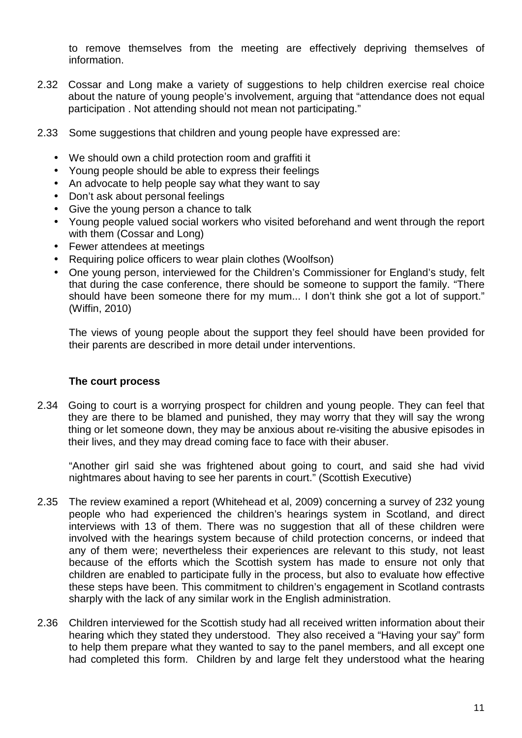to remove themselves from the meeting are effectively depriving themselves of information.

- 2.32 Cossar and Long make a variety of suggestions to help children exercise real choice about the nature of young people's involvement, arguing that "attendance does not equal participation . Not attending should not mean not participating."
- 2.33 Some suggestions that children and young people have expressed are:
	- We should own a child protection room and graffiti it
	- Young people should be able to express their feelings
	- An advocate to help people say what they want to say  $\mathbf{r}$
	- Don't ask about personal feelings
	- Give the young person a chance to talk
	- Young people valued social workers who visited beforehand and went through the report with them (Cossar and Long)
	- Fewer attendees at meetings
	- Requiring police officers to wear plain clothes (Woolfson)
	- One young person, interviewed for the Children's Commissioner for England's study, felt that during the case conference, there should be someone to support the family. "There should have been someone there for my mum... I don't think she got a lot of support." (Wiffin, 2010)

The views of young people about the support they feel should have been provided for their parents are described in more detail under interventions.

### **The court process**

2.34 Going to court is a worrying prospect for children and young people. They can feel that they are there to be blamed and punished, they may worry that they will say the wrong thing or let someone down, they may be anxious about re-visiting the abusive episodes in their lives, and they may dread coming face to face with their abuser.

"Another girl said she was frightened about going to court, and said she had vivid nightmares about having to see her parents in court." (Scottish Executive)

- 2.35 The review examined a report (Whitehead et al, 2009) concerning a survey of 232 young people who had experienced the children's hearings system in Scotland, and direct interviews with 13 of them. There was no suggestion that all of these children were involved with the hearings system because of child protection concerns, or indeed that any of them were; nevertheless their experiences are relevant to this study, not least because of the efforts which the Scottish system has made to ensure not only that children are enabled to participate fully in the process, but also to evaluate how effective these steps have been. This commitment to children's engagement in Scotland contrasts sharply with the lack of any similar work in the English administration.
- 2.36 Children interviewed for the Scottish study had all received written information about their hearing which they stated they understood. They also received a "Having your say" form to help them prepare what they wanted to say to the panel members, and all except one had completed this form. Children by and large felt they understood what the hearing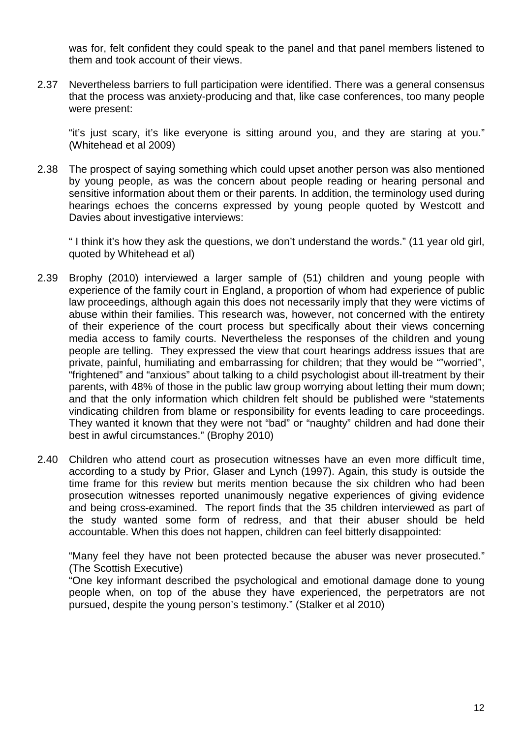was for, felt confident they could speak to the panel and that panel members listened to them and took account of their views.

2.37 Nevertheless barriers to full participation were identified. There was a general consensus that the process was anxiety-producing and that, like case conferences, too many people were present:

"it's just scary, it's like everyone is sitting around you, and they are staring at you." (Whitehead et al 2009)

2.38 The prospect of saying something which could upset another person was also mentioned by young people, as was the concern about people reading or hearing personal and sensitive information about them or their parents. In addition, the terminology used during hearings echoes the concerns expressed by young people quoted by Westcott and Davies about investigative interviews:

" I think it's how they ask the questions, we don't understand the words." (11 year old girl, quoted by Whitehead et al)

- 2.39 Brophy (2010) interviewed a larger sample of (51) children and young people with experience of the family court in England, a proportion of whom had experience of public law proceedings, although again this does not necessarily imply that they were victims of abuse within their families. This research was, however, not concerned with the entirety of their experience of the court process but specifically about their views concerning media access to family courts. Nevertheless the responses of the children and young people are telling. They expressed the view that court hearings address issues that are private, painful, humiliating and embarrassing for children; that they would be ""worried", "frightened" and "anxious" about talking to a child psychologist about ill-treatment by their parents, with 48% of those in the public law group worrying about letting their mum down; and that the only information which children felt should be published were "statements vindicating children from blame or responsibility for events leading to care proceedings. They wanted it known that they were not "bad" or "naughty" children and had done their best in awful circumstances." (Brophy 2010)
- 2.40 Children who attend court as prosecution witnesses have an even more difficult time, according to a study by Prior, Glaser and Lynch (1997). Again, this study is outside the time frame for this review but merits mention because the six children who had been prosecution witnesses reported unanimously negative experiences of giving evidence and being cross-examined. The report finds that the 35 children interviewed as part of the study wanted some form of redress, and that their abuser should be held accountable. When this does not happen, children can feel bitterly disappointed:

"Many feel they have not been protected because the abuser was never prosecuted." (The Scottish Executive)

"One key informant described the psychological and emotional damage done to young people when, on top of the abuse they have experienced, the perpetrators are not pursued, despite the young person's testimony." (Stalker et al 2010)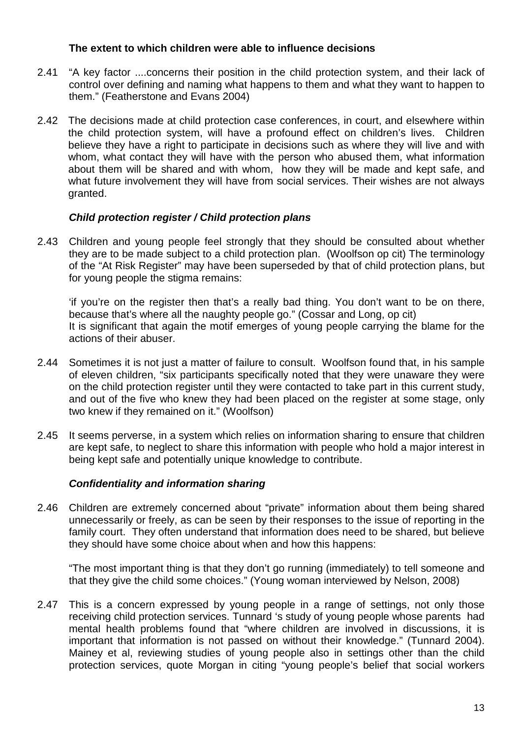### **The extent to which children were able to influence decisions**

- 2.41 "A key factor ....concerns their position in the child protection system, and their lack of control over defining and naming what happens to them and what they want to happen to them." (Featherstone and Evans 2004)
- 2.42 The decisions made at child protection case conferences, in court, and elsewhere within the child protection system, will have a profound effect on children's lives. Children believe they have a right to participate in decisions such as where they will live and with whom, what contact they will have with the person who abused them, what information about them will be shared and with whom, how they will be made and kept safe, and what future involvement they will have from social services. Their wishes are not always granted.

## *Child protection register / Child protection plans*

2.43 Children and young people feel strongly that they should be consulted about whether they are to be made subject to a child protection plan. (Woolfson op cit) The terminology of the "At Risk Register" may have been superseded by that of child protection plans, but for young people the stigma remains:

'if you're on the register then that's a really bad thing. You don't want to be on there, because that's where all the naughty people go." (Cossar and Long, op cit) It is significant that again the motif emerges of young people carrying the blame for the actions of their abuser.

- 2.44 Sometimes it is not just a matter of failure to consult. Woolfson found that, in his sample of eleven children, "six participants specifically noted that they were unaware they were on the child protection register until they were contacted to take part in this current study, and out of the five who knew they had been placed on the register at some stage, only two knew if they remained on it." (Woolfson)
- 2.45 It seems perverse, in a system which relies on information sharing to ensure that children are kept safe, to neglect to share this information with people who hold a major interest in being kept safe and potentially unique knowledge to contribute.

## *Confidentiality and information sharing*

2.46 Children are extremely concerned about "private" information about them being shared unnecessarily or freely, as can be seen by their responses to the issue of reporting in the family court. They often understand that information does need to be shared, but believe they should have some choice about when and how this happens:

"The most important thing is that they don't go running (immediately) to tell someone and that they give the child some choices." (Young woman interviewed by Nelson, 2008)

2.47 This is a concern expressed by young people in a range of settings, not only those receiving child protection services. Tunnard 's study of young people whose parents had mental health problems found that "where children are involved in discussions, it is important that information is not passed on without their knowledge." (Tunnard 2004). Mainey et al, reviewing studies of young people also in settings other than the child protection services, quote Morgan in citing "young people's belief that social workers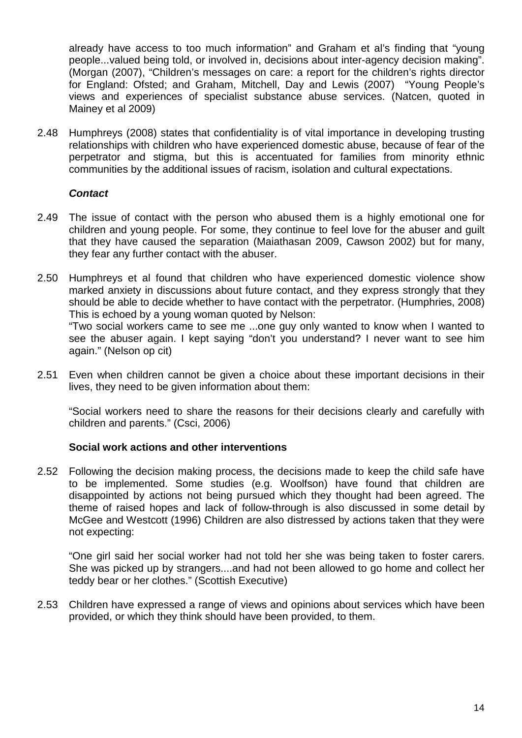already have access to too much information" and Graham et al's finding that "young people...valued being told, or involved in, decisions about inter-agency decision making". (Morgan (2007), "Children's messages on care: a report for the children's rights director for England: Ofsted; and Graham, Mitchell, Day and Lewis (2007) "Young People's views and experiences of specialist substance abuse services. (Natcen, quoted in Mainey et al 2009)

2.48 Humphreys (2008) states that confidentiality is of vital importance in developing trusting relationships with children who have experienced domestic abuse, because of fear of the perpetrator and stigma, but this is accentuated for families from minority ethnic communities by the additional issues of racism, isolation and cultural expectations.

### *Contact*

- 2.49 The issue of contact with the person who abused them is a highly emotional one for children and young people. For some, they continue to feel love for the abuser and guilt that they have caused the separation (Maiathasan 2009, Cawson 2002) but for many, they fear any further contact with the abuser.
- 2.50 Humphreys et al found that children who have experienced domestic violence show marked anxiety in discussions about future contact, and they express strongly that they should be able to decide whether to have contact with the perpetrator. (Humphries, 2008) This is echoed by a young woman quoted by Nelson:

"Two social workers came to see me ...one guy only wanted to know when I wanted to see the abuser again. I kept saying "don't you understand? I never want to see him again." (Nelson op cit)

2.51 Even when children cannot be given a choice about these important decisions in their lives, they need to be given information about them:

"Social workers need to share the reasons for their decisions clearly and carefully with children and parents." (Csci, 2006)

### **Social work actions and other interventions**

2.52 Following the decision making process, the decisions made to keep the child safe have to be implemented. Some studies (e.g. Woolfson) have found that children are disappointed by actions not being pursued which they thought had been agreed. The theme of raised hopes and lack of follow-through is also discussed in some detail by McGee and Westcott (1996) Children are also distressed by actions taken that they were not expecting:

"One girl said her social worker had not told her she was being taken to foster carers. She was picked up by strangers....and had not been allowed to go home and collect her teddy bear or her clothes." (Scottish Executive)

2.53 Children have expressed a range of views and opinions about services which have been provided, or which they think should have been provided, to them.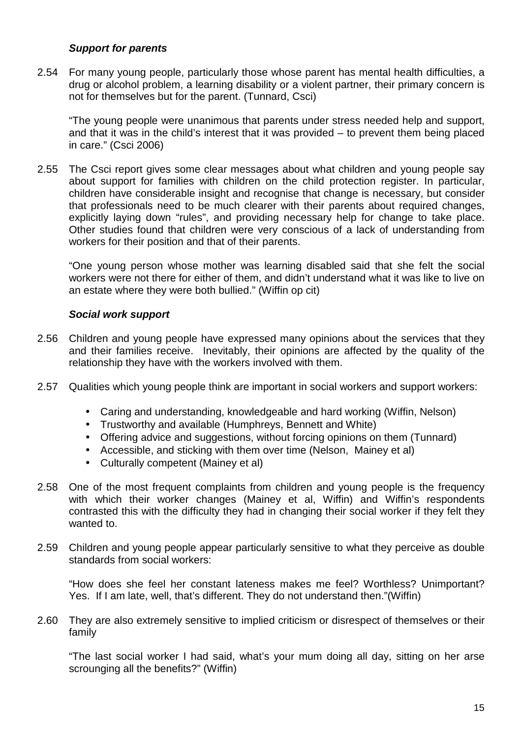## *Support for parents*

2.54 For many young people, particularly those whose parent has mental health difficulties, a drug or alcohol problem, a learning disability or a violent partner, their primary concern is not for themselves but for the parent. (Tunnard, Csci)

"The young people were unanimous that parents under stress needed help and support, and that it was in the child's interest that it was provided – to prevent them being placed in care." (Csci 2006)

2.55 The Csci report gives some clear messages about what children and young people say about support for families with children on the child protection register. In particular, children have considerable insight and recognise that change is necessary, but consider that professionals need to be much clearer with their parents about required changes, explicitly laying down "rules", and providing necessary help for change to take place. Other studies found that children were very conscious of a lack of understanding from workers for their position and that of their parents.

"One young person whose mother was learning disabled said that she felt the social workers were not there for either of them, and didn't understand what it was like to live on an estate where they were both bullied." (Wiffin op cit)

## *Social work support*

- 2.56 Children and young people have expressed many opinions about the services that they and their families receive. Inevitably, their opinions are affected by the quality of the relationship they have with the workers involved with them.
- 2.57 Qualities which young people think are important in social workers and support workers:
	- Caring and understanding, knowledgeable and hard working (Wiffin, Nelson)
	- Trustworthy and available (Humphreys, Bennett and White)
	- Offering advice and suggestions, without forcing opinions on them (Tunnard)
	- Accessible, and sticking with them over time (Nelson, Mainey et al)
	- Culturally competent (Mainey et al)
- 2.58 One of the most frequent complaints from children and young people is the frequency with which their worker changes (Mainey et al, Wiffin) and Wiffin's respondents contrasted this with the difficulty they had in changing their social worker if they felt they wanted to.
- 2.59 Children and young people appear particularly sensitive to what they perceive as double standards from social workers:

"How does she feel her constant lateness makes me feel? Worthless? Unimportant? Yes. If I am late, well, that's different. They do not understand then."(Wiffin)

2.60 They are also extremely sensitive to implied criticism or disrespect of themselves or their family

"The last social worker I had said, what's your mum doing all day, sitting on her arse scrounging all the benefits?" (Wiffin)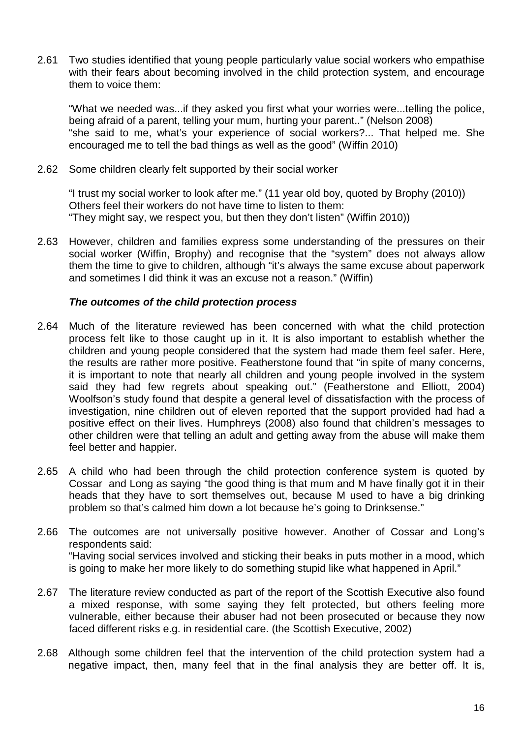2.61 Two studies identified that young people particularly value social workers who empathise with their fears about becoming involved in the child protection system, and encourage them to voice them:

"What we needed was...if they asked you first what your worries were...telling the police, being afraid of a parent, telling your mum, hurting your parent.." (Nelson 2008) "she said to me, what's your experience of social workers?... That helped me. She encouraged me to tell the bad things as well as the good" (Wiffin 2010)

2.62 Some children clearly felt supported by their social worker

"I trust my social worker to look after me." (11 year old boy, quoted by Brophy (2010)) Others feel their workers do not have time to listen to them: "They might say, we respect you, but then they don't listen" (Wiffin 2010))

2.63 However, children and families express some understanding of the pressures on their social worker (Wiffin, Brophy) and recognise that the "system" does not always allow them the time to give to children, although "it's always the same excuse about paperwork and sometimes I did think it was an excuse not a reason." (Wiffin)

### *The outcomes of the child protection process*

- 2.64 Much of the literature reviewed has been concerned with what the child protection process felt like to those caught up in it. It is also important to establish whether the children and young people considered that the system had made them feel safer. Here, the results are rather more positive. Featherstone found that "in spite of many concerns, it is important to note that nearly all children and young people involved in the system said they had few regrets about speaking out." (Featherstone and Elliott, 2004) Woolfson's study found that despite a general level of dissatisfaction with the process of investigation, nine children out of eleven reported that the support provided had had a positive effect on their lives. Humphreys (2008) also found that children's messages to other children were that telling an adult and getting away from the abuse will make them feel better and happier.
- 2.65 A child who had been through the child protection conference system is quoted by Cossar and Long as saying "the good thing is that mum and M have finally got it in their heads that they have to sort themselves out, because M used to have a big drinking problem so that's calmed him down a lot because he's going to Drinksense."
- 2.66 The outcomes are not universally positive however. Another of Cossar and Long's respondents said: "Having social services involved and sticking their beaks in puts mother in a mood, which is going to make her more likely to do something stupid like what happened in April."
- 2.67 The literature review conducted as part of the report of the Scottish Executive also found a mixed response, with some saying they felt protected, but others feeling more vulnerable, either because their abuser had not been prosecuted or because they now faced different risks e.g. in residential care. (the Scottish Executive, 2002)
- 2.68 Although some children feel that the intervention of the child protection system had a negative impact, then, many feel that in the final analysis they are better off. It is,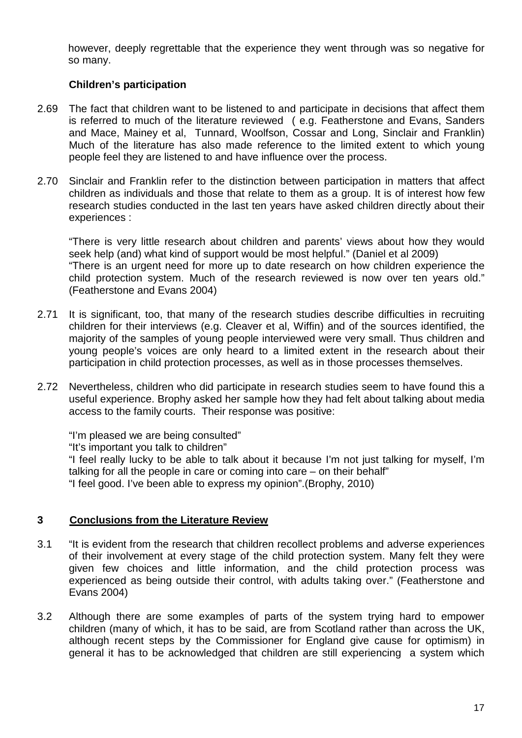however, deeply regrettable that the experience they went through was so negative for so many.

## **Children's participation**

- 2.69 The fact that children want to be listened to and participate in decisions that affect them is referred to much of the literature reviewed ( e.g. Featherstone and Evans, Sanders and Mace, Mainey et al, Tunnard, Woolfson, Cossar and Long, Sinclair and Franklin) Much of the literature has also made reference to the limited extent to which young people feel they are listened to and have influence over the process.
- 2.70 Sinclair and Franklin refer to the distinction between participation in matters that affect children as individuals and those that relate to them as a group. It is of interest how few research studies conducted in the last ten years have asked children directly about their experiences :

"There is very little research about children and parents' views about how they would seek help (and) what kind of support would be most helpful." (Daniel et al 2009) "There is an urgent need for more up to date research on how children experience the child protection system. Much of the research reviewed is now over ten years old." (Featherstone and Evans 2004)

- 2.71 It is significant, too, that many of the research studies describe difficulties in recruiting children for their interviews (e.g. Cleaver et al, Wiffin) and of the sources identified, the majority of the samples of young people interviewed were very small. Thus children and young people's voices are only heard to a limited extent in the research about their participation in child protection processes, as well as in those processes themselves.
- 2.72 Nevertheless, children who did participate in research studies seem to have found this a useful experience. Brophy asked her sample how they had felt about talking about media access to the family courts. Their response was positive:

"I'm pleased we are being consulted"

"It's important you talk to children"

"I feel really lucky to be able to talk about it because I'm not just talking for myself, I'm talking for all the people in care or coming into care – on their behalf" "I feel good. I've been able to express my opinion".(Brophy, 2010)

## **3 Conclusions from the Literature Review**

- 3.1 "It is evident from the research that children recollect problems and adverse experiences of their involvement at every stage of the child protection system. Many felt they were given few choices and little information, and the child protection process was experienced as being outside their control, with adults taking over." (Featherstone and Evans 2004)
- 3.2 Although there are some examples of parts of the system trying hard to empower children (many of which, it has to be said, are from Scotland rather than across the UK, although recent steps by the Commissioner for England give cause for optimism) in general it has to be acknowledged that children are still experiencing a system which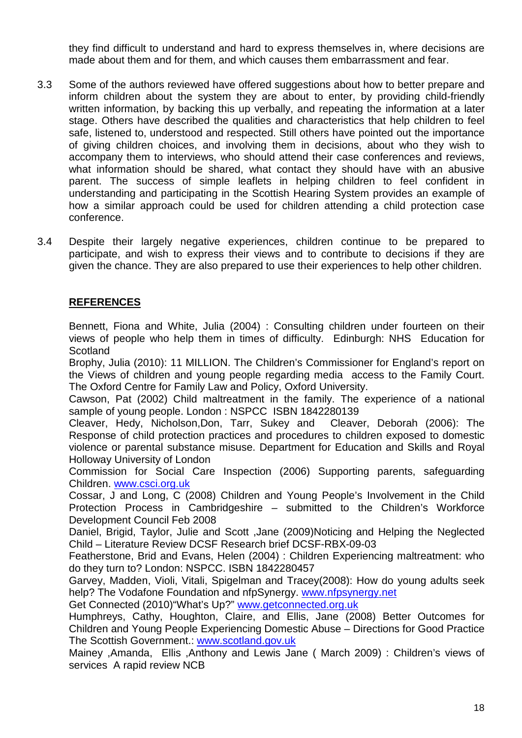they find difficult to understand and hard to express themselves in, where decisions are made about them and for them, and which causes them embarrassment and fear.

- 3.3 Some of the authors reviewed have offered suggestions about how to better prepare and inform children about the system they are about to enter, by providing child-friendly written information, by backing this up verbally, and repeating the information at a later stage. Others have described the qualities and characteristics that help children to feel safe, listened to, understood and respected. Still others have pointed out the importance of giving children choices, and involving them in decisions, about who they wish to accompany them to interviews, who should attend their case conferences and reviews, what information should be shared, what contact they should have with an abusive parent. The success of simple leaflets in helping children to feel confident in understanding and participating in the Scottish Hearing System provides an example of how a similar approach could be used for children attending a child protection case conference.
- 3.4 Despite their largely negative experiences, children continue to be prepared to participate, and wish to express their views and to contribute to decisions if they are given the chance. They are also prepared to use their experiences to help other children.

## **REFERENCES**

Bennett, Fiona and White, Julia (2004) : Consulting children under fourteen on their views of people who help them in times of difficulty. Edinburgh: NHS Education for **Scotland** 

Brophy, Julia (2010): 11 MILLION. The Children's Commissioner for England's report on the Views of children and young people regarding media access to the Family Court. The Oxford Centre for Family Law and Policy, Oxford University.

Cawson, Pat (2002) Child maltreatment in the family. The experience of a national sample of young people. London : NSPCC ISBN 1842280139

Cleaver, Hedy, Nicholson,Don, Tarr, Sukey and Cleaver, Deborah (2006): The Response of child protection practices and procedures to children exposed to domestic violence or parental substance misuse. Department for Education and Skills and Royal Holloway University of London

Commission for Social Care Inspection (2006) Supporting parents, safeguarding Children. [www.csci.org.uk](http://www.csci.org.uk/)

Cossar, J and Long, C (2008) Children and Young People's Involvement in the Child Protection Process in Cambridgeshire – submitted to the Children's Workforce Development Council Feb 2008

Daniel, Brigid, Taylor, Julie and Scott ,Jane (2009)Noticing and Helping the Neglected Child – Literature Review DCSF Research brief DCSF-RBX-09-03

Featherstone, Brid and Evans, Helen (2004) : Children Experiencing maltreatment: who do they turn to? London: NSPCC. ISBN 1842280457

Garvey, Madden, Violi, Vitali, Spigelman and Tracey(2008): How do young adults seek help? The Vodafone Foundation and nfpSynergy. www.nfpsynergy.net

Get Connected (2010)"What's Up?" [www.getconnected.org.uk](http://www.getconnected.org.uk/)

Humphreys, Cathy, Houghton, Claire, and Ellis, Jane (2008) Better Outcomes for Children and Young People Experiencing Domestic Abuse – Directions for Good Practice The Scottish Government.: [www.scotland.gov.uk](http://www.scotland.gov.uk/)

Mainey ,Amanda, Ellis ,Anthony and Lewis Jane ( March 2009) : Children's views of services A rapid review NCB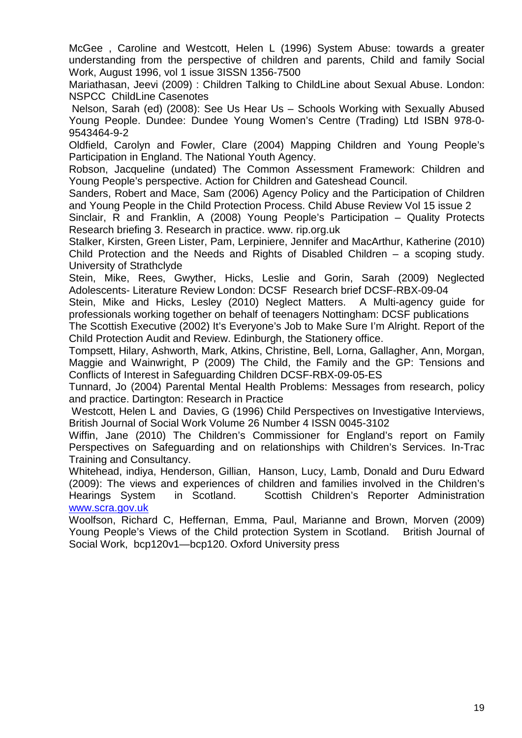McGee , Caroline and Westcott, Helen L (1996) System Abuse: towards a greater understanding from the perspective of children and parents, Child and family Social Work, August 1996, vol 1 issue 3ISSN 1356-7500

Mariathasan, Jeevi (2009) : Children Talking to ChildLine about Sexual Abuse. London: NSPCC ChildLine Casenotes

Nelson, Sarah (ed) (2008): See Us Hear Us – Schools Working with Sexually Abused Young People. Dundee: Dundee Young Women's Centre (Trading) Ltd ISBN 978-0- 9543464-9-2

Oldfield, Carolyn and Fowler, Clare (2004) Mapping Children and Young People's Participation in England. The National Youth Agency.

Robson, Jacqueline (undated) The Common Assessment Framework: Children and Young People's perspective. Action for Children and Gateshead Council.

Sanders, Robert and Mace, Sam (2006) Agency Policy and the Participation of Children and Young People in the Child Protection Process. Child Abuse Review Vol 15 issue 2

Sinclair, R and Franklin, A (2008) Young People's Participation – Quality Protects Research briefing 3. Research in practice. www. rip.org.uk

Stalker, Kirsten, Green Lister, Pam, Lerpiniere, Jennifer and MacArthur, Katherine (2010) Child Protection and the Needs and Rights of Disabled Children – a scoping study. University of Strathclyde

Stein, Mike, Rees, Gwyther, Hicks, Leslie and Gorin, Sarah (2009) Neglected Adolescents- Literature Review London: DCSF Research brief DCSF-RBX-09-04

Stein, Mike and Hicks, Lesley (2010) Neglect Matters. A Multi-agency guide for professionals working together on behalf of teenagers Nottingham: DCSF publications

The Scottish Executive (2002) It's Everyone's Job to Make Sure I'm Alright. Report of the Child Protection Audit and Review. Edinburgh, the Stationery office.

Tompsett, Hilary, Ashworth, Mark, Atkins, Christine, Bell, Lorna, Gallagher, Ann, Morgan, Maggie and Wainwright, P (2009) The Child, the Family and the GP: Tensions and Conflicts of Interest in Safeguarding Children DCSF-RBX-09-05-ES

Tunnard, Jo (2004) Parental Mental Health Problems: Messages from research, policy and practice. Dartington: Research in Practice

Westcott, Helen L and Davies, G (1996) Child Perspectives on Investigative Interviews, British Journal of Social Work Volume 26 Number 4 ISSN 0045-3102

Wiffin, Jane (2010) The Children's Commissioner for England's report on Family Perspectives on Safeguarding and on relationships with Children's Services. In-Trac Training and Consultancy.

Whitehead, indiya, Henderson, Gillian, Hanson, Lucy, Lamb, Donald and Duru Edward (2009): The views and experiences of children and families involved in the Children's Hearings System in Scotland. Scottish Children's Reporter Administration Hearings System in Scotland. Scottish Children's Reporter Administration [www.scra.gov.uk](http://www.scra.gov.uk/)

Woolfson, Richard C, Heffernan, Emma, Paul, Marianne and Brown, Morven (2009) Young People's Views of the Child protection System in Scotland. British Journal of Social Work, bcp120v1—bcp120. Oxford University press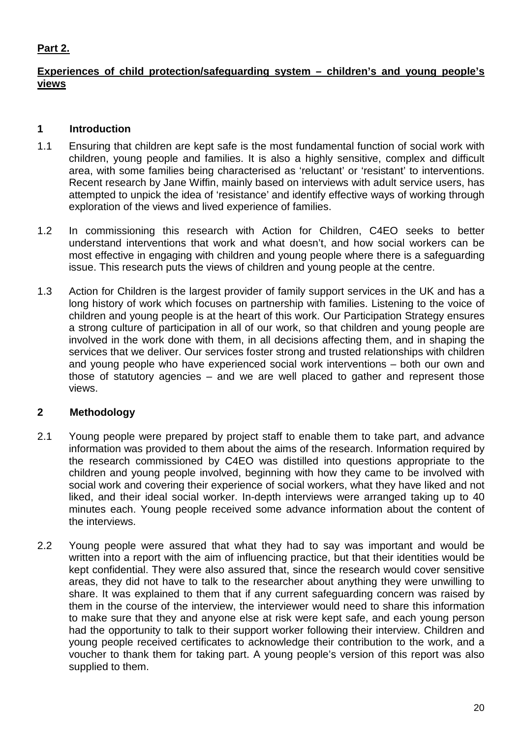## **Part 2.**

## **Experiences of child protection/safeguarding system – children's and young people's views**

## **1 Introduction**

- 1.1 Ensuring that children are kept safe is the most fundamental function of social work with children, young people and families. It is also a highly sensitive, complex and difficult area, with some families being characterised as 'reluctant' or 'resistant' to interventions. Recent research by Jane Wiffin, mainly based on interviews with adult service users, has attempted to unpick the idea of 'resistance' and identify effective ways of working through exploration of the views and lived experience of families.
- 1.2 In commissioning this research with Action for Children, C4EO seeks to better understand interventions that work and what doesn't, and how social workers can be most effective in engaging with children and young people where there is a safeguarding issue. This research puts the views of children and young people at the centre.
- 1.3 Action for Children is the largest provider of family support services in the UK and has a long history of work which focuses on partnership with families. Listening to the voice of children and young people is at the heart of this work. Our Participation Strategy ensures a strong culture of participation in all of our work, so that children and young people are involved in the work done with them, in all decisions affecting them, and in shaping the services that we deliver. Our services foster strong and trusted relationships with children and young people who have experienced social work interventions – both our own and those of statutory agencies – and we are well placed to gather and represent those views.

## **2 Methodology**

- 2.1 Young people were prepared by project staff to enable them to take part, and advance information was provided to them about the aims of the research. Information required by the research commissioned by C4EO was distilled into questions appropriate to the children and young people involved, beginning with how they came to be involved with social work and covering their experience of social workers, what they have liked and not liked, and their ideal social worker. In-depth interviews were arranged taking up to 40 minutes each. Young people received some advance information about the content of the interviews.
- 2.2 Young people were assured that what they had to say was important and would be written into a report with the aim of influencing practice, but that their identities would be kept confidential. They were also assured that, since the research would cover sensitive areas, they did not have to talk to the researcher about anything they were unwilling to share. It was explained to them that if any current safeguarding concern was raised by them in the course of the interview, the interviewer would need to share this information to make sure that they and anyone else at risk were kept safe, and each young person had the opportunity to talk to their support worker following their interview. Children and young people received certificates to acknowledge their contribution to the work, and a voucher to thank them for taking part. A young people's version of this report was also supplied to them.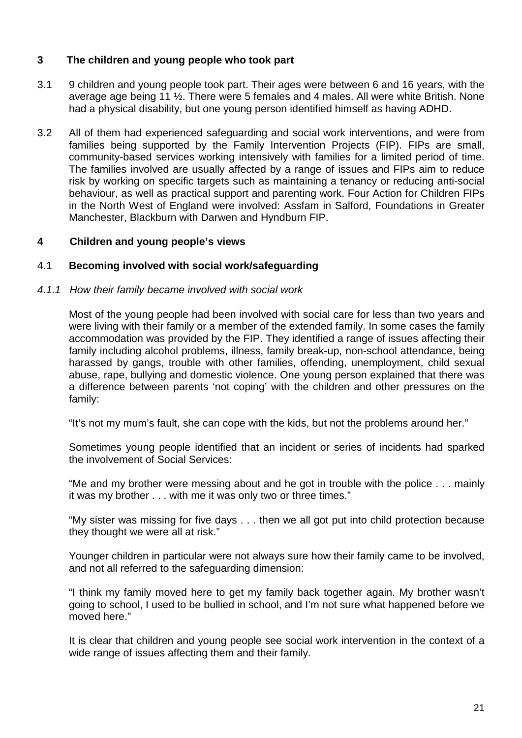## **3 The children and young people who took part**

- 3.1 9 children and young people took part. Their ages were between 6 and 16 years, with the average age being 11 ½. There were 5 females and 4 males. All were white British. None had a physical disability, but one young person identified himself as having ADHD.
- 3.2 All of them had experienced safeguarding and social work interventions, and were from families being supported by the Family Intervention Projects (FIP). FIPs are small, community-based services working intensively with families for a limited period of time. The families involved are usually affected by a range of issues and FIPs aim to reduce risk by working on specific targets such as maintaining a tenancy or reducing anti-social behaviour, as well as practical support and parenting work. Four Action for Children FIPs in the North West of England were involved: Assfam in Salford, Foundations in Greater Manchester, Blackburn with Darwen and Hyndburn FIP.

## **4 Children and young people's views**

## 4.1 **Becoming involved with social work/safeguarding**

## *4.1.1 How their family became involved with social work*

Most of the young people had been involved with social care for less than two years and were living with their family or a member of the extended family. In some cases the family accommodation was provided by the FIP. They identified a range of issues affecting their family including alcohol problems, illness, family break-up, non-school attendance, being harassed by gangs, trouble with other families, offending, unemployment, child sexual abuse, rape, bullying and domestic violence. One young person explained that there was a difference between parents 'not coping' with the children and other pressures on the family:

"It's not my mum's fault, she can cope with the kids, but not the problems around her."

Sometimes young people identified that an incident or series of incidents had sparked the involvement of Social Services:

"Me and my brother were messing about and he got in trouble with the police . . . mainly it was my brother . . . with me it was only two or three times."

"My sister was missing for five days . . . then we all got put into child protection because they thought we were all at risk."

Younger children in particular were not always sure how their family came to be involved, and not all referred to the safeguarding dimension:

"I think my family moved here to get my family back together again. My brother wasn't going to school, I used to be bullied in school, and I'm not sure what happened before we moved here."

It is clear that children and young people see social work intervention in the context of a wide range of issues affecting them and their family.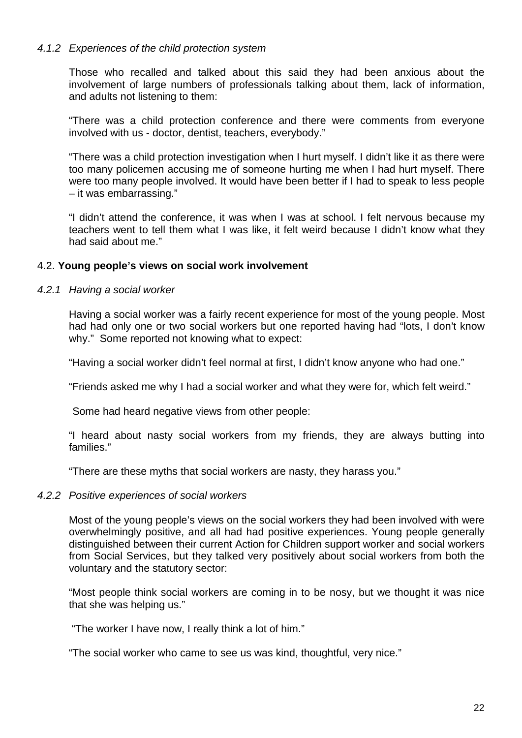### *4.1.2 Experiences of the child protection system*

Those who recalled and talked about this said they had been anxious about the involvement of large numbers of professionals talking about them, lack of information, and adults not listening to them:

"There was a child protection conference and there were comments from everyone involved with us - doctor, dentist, teachers, everybody."

"There was a child protection investigation when I hurt myself. I didn't like it as there were too many policemen accusing me of someone hurting me when I had hurt myself. There were too many people involved. It would have been better if I had to speak to less people – it was embarrassing."

"I didn't attend the conference, it was when I was at school. I felt nervous because my teachers went to tell them what I was like, it felt weird because I didn't know what they had said about me."

### 4.2. **Young people's views on social work involvement**

#### *4.2.1 Having a social worker*

Having a social worker was a fairly recent experience for most of the young people. Most had had only one or two social workers but one reported having had "lots, I don't know why." Some reported not knowing what to expect:

"Having a social worker didn't feel normal at first, I didn't know anyone who had one."

"Friends asked me why I had a social worker and what they were for, which felt weird."

Some had heard negative views from other people:

"I heard about nasty social workers from my friends, they are always butting into families."

"There are these myths that social workers are nasty, they harass you."

#### *4.2.2 Positive experiences of social workers*

Most of the young people's views on the social workers they had been involved with were overwhelmingly positive, and all had had positive experiences. Young people generally distinguished between their current Action for Children support worker and social workers from Social Services, but they talked very positively about social workers from both the voluntary and the statutory sector:

"Most people think social workers are coming in to be nosy, but we thought it was nice that she was helping us."

"The worker I have now, I really think a lot of him."

"The social worker who came to see us was kind, thoughtful, very nice."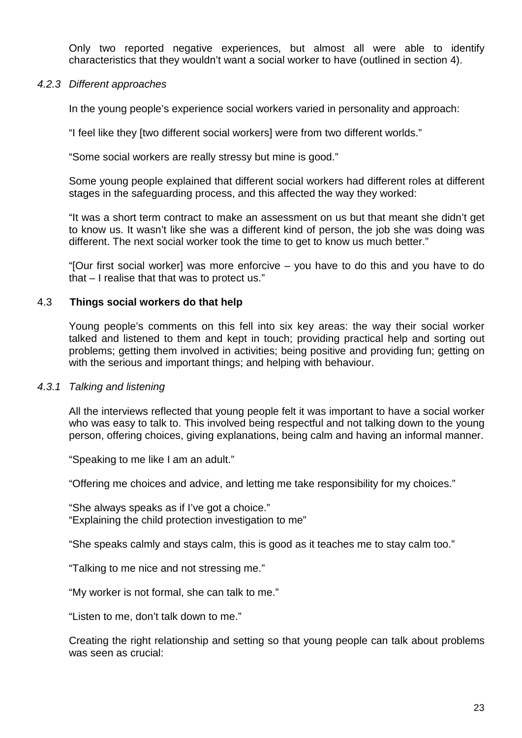Only two reported negative experiences, but almost all were able to identify characteristics that they wouldn't want a social worker to have (outlined in section 4).

#### *4.2.3 Different approaches*

In the young people's experience social workers varied in personality and approach:

"I feel like they [two different social workers] were from two different worlds."

"Some social workers are really stressy but mine is good."

Some young people explained that different social workers had different roles at different stages in the safeguarding process, and this affected the way they worked:

"It was a short term contract to make an assessment on us but that meant she didn't get to know us. It wasn't like she was a different kind of person, the job she was doing was different. The next social worker took the time to get to know us much better."

"[Our first social worker] was more enforcive – you have to do this and you have to do that – I realise that that was to protect us."

### 4.3 **Things social workers do that help**

Young people's comments on this fell into six key areas: the way their social worker talked and listened to them and kept in touch; providing practical help and sorting out problems; getting them involved in activities; being positive and providing fun; getting on with the serious and important things; and helping with behaviour.

#### *4.3.1 Talking and listening*

All the interviews reflected that young people felt it was important to have a social worker who was easy to talk to. This involved being respectful and not talking down to the young person, offering choices, giving explanations, being calm and having an informal manner.

"Speaking to me like I am an adult."

"Offering me choices and advice, and letting me take responsibility for my choices."

"She always speaks as if I've got a choice." "Explaining the child protection investigation to me"

"She speaks calmly and stays calm, this is good as it teaches me to stay calm too."

"Talking to me nice and not stressing me."

"My worker is not formal, she can talk to me."

"Listen to me, don't talk down to me."

Creating the right relationship and setting so that young people can talk about problems was seen as crucial: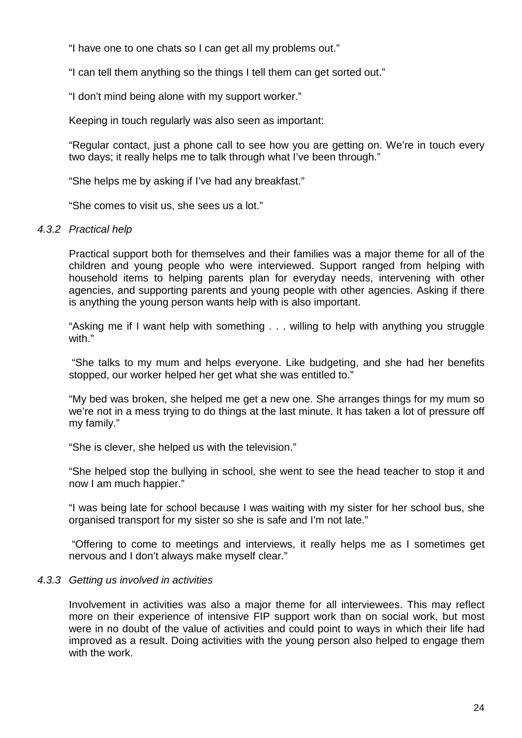"I have one to one chats so I can get all my problems out."

"I can tell them anything so the things I tell them can get sorted out."

"I don't mind being alone with my support worker."

Keeping in touch regularly was also seen as important:

"Regular contact, just a phone call to see how you are getting on. We're in touch every two days; it really helps me to talk through what I've been through."

"She helps me by asking if I've had any breakfast."

"She comes to visit us, she sees us a lot."

### *4.3.2 Practical help*

Practical support both for themselves and their families was a major theme for all of the children and young people who were interviewed. Support ranged from helping with household items to helping parents plan for everyday needs, intervening with other agencies, and supporting parents and young people with other agencies. Asking if there is anything the young person wants help with is also important.

"Asking me if I want help with something . . . willing to help with anything you struggle with."

"She talks to my mum and helps everyone. Like budgeting, and she had her benefits stopped, our worker helped her get what she was entitled to."

"My bed was broken, she helped me get a new one. She arranges things for my mum so we're not in a mess trying to do things at the last minute. It has taken a lot of pressure off my family."

"She is clever, she helped us with the television."

"She helped stop the bullying in school, she went to see the head teacher to stop it and now I am much happier."

"I was being late for school because I was waiting with my sister for her school bus, she organised transport for my sister so she is safe and I'm not late."

"Offering to come to meetings and interviews, it really helps me as I sometimes get nervous and I don't always make myself clear."

### *4.3.3 Getting us involved in activities*

Involvement in activities was also a major theme for all interviewees. This may reflect more on their experience of intensive FIP support work than on social work, but most were in no doubt of the value of activities and could point to ways in which their life had improved as a result. Doing activities with the young person also helped to engage them with the work.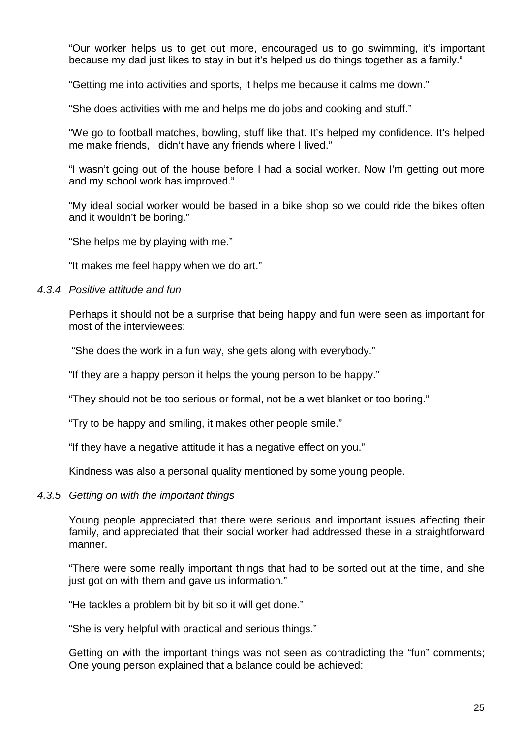"Our worker helps us to get out more, encouraged us to go swimming, it's important because my dad just likes to stay in but it's helped us do things together as a family."

"Getting me into activities and sports, it helps me because it calms me down."

"She does activities with me and helps me do jobs and cooking and stuff."

"We go to football matches, bowling, stuff like that. It's helped my confidence. It's helped me make friends, I didn't have any friends where I lived."

"I wasn't going out of the house before I had a social worker. Now I'm getting out more and my school work has improved."

"My ideal social worker would be based in a bike shop so we could ride the bikes often and it wouldn't be boring."

"She helps me by playing with me."

"It makes me feel happy when we do art."

### *4.3.4 Positive attitude and fun*

Perhaps it should not be a surprise that being happy and fun were seen as important for most of the interviewees:

"She does the work in a fun way, she gets along with everybody."

"If they are a happy person it helps the young person to be happy."

"They should not be too serious or formal, not be a wet blanket or too boring."

"Try to be happy and smiling, it makes other people smile."

"If they have a negative attitude it has a negative effect on you."

Kindness was also a personal quality mentioned by some young people.

### *4.3.5 Getting on with the important things*

Young people appreciated that there were serious and important issues affecting their family, and appreciated that their social worker had addressed these in a straightforward manner.

"There were some really important things that had to be sorted out at the time, and she just got on with them and gave us information."

"He tackles a problem bit by bit so it will get done."

"She is very helpful with practical and serious things."

Getting on with the important things was not seen as contradicting the "fun" comments; One young person explained that a balance could be achieved: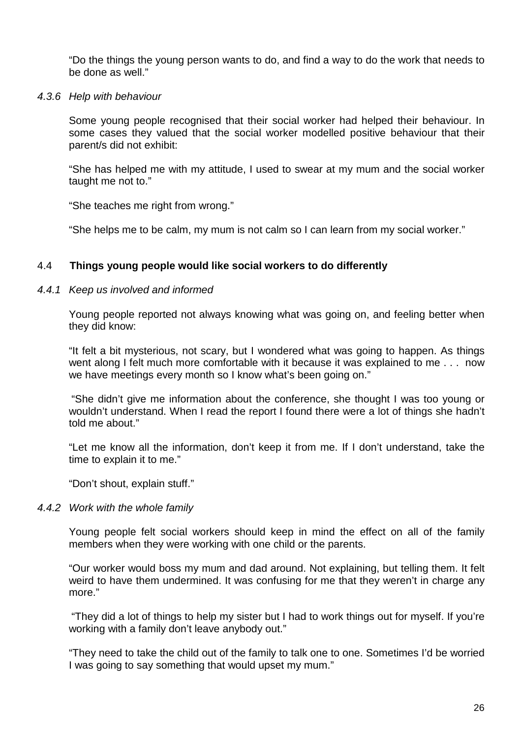"Do the things the young person wants to do, and find a way to do the work that needs to be done as well."

#### *4.3.6 Help with behaviour*

Some young people recognised that their social worker had helped their behaviour. In some cases they valued that the social worker modelled positive behaviour that their parent/s did not exhibit:

"She has helped me with my attitude, I used to swear at my mum and the social worker taught me not to."

"She teaches me right from wrong."

"She helps me to be calm, my mum is not calm so I can learn from my social worker."

### 4.4 **Things young people would like social workers to do differently**

### *4.4.1 Keep us involved and informed*

Young people reported not always knowing what was going on, and feeling better when they did know:

"It felt a bit mysterious, not scary, but I wondered what was going to happen. As things went along I felt much more comfortable with it because it was explained to me . . . now we have meetings every month so I know what's been going on."

"She didn't give me information about the conference, she thought I was too young or wouldn't understand. When I read the report I found there were a lot of things she hadn't told me about."

"Let me know all the information, don't keep it from me. If I don't understand, take the time to explain it to me."

"Don't shout, explain stuff."

### *4.4.2 Work with the whole family*

Young people felt social workers should keep in mind the effect on all of the family members when they were working with one child or the parents.

"Our worker would boss my mum and dad around. Not explaining, but telling them. It felt weird to have them undermined. It was confusing for me that they weren't in charge any more."

"They did a lot of things to help my sister but I had to work things out for myself. If you're working with a family don't leave anybody out."

"They need to take the child out of the family to talk one to one. Sometimes I'd be worried I was going to say something that would upset my mum."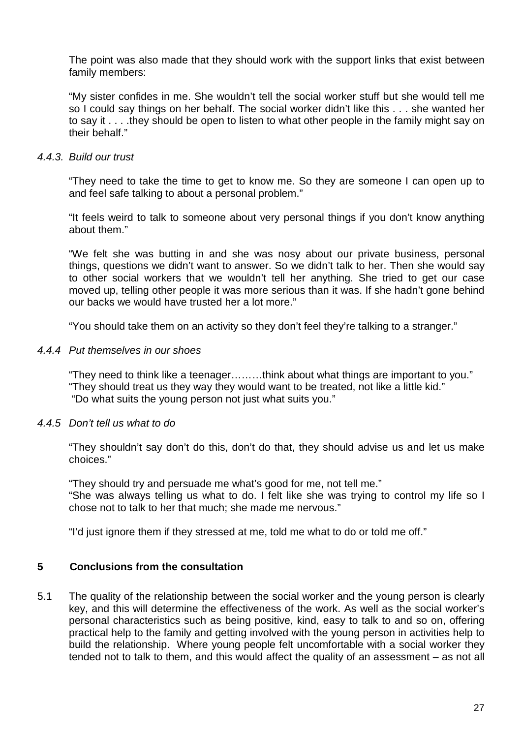The point was also made that they should work with the support links that exist between family members:

"My sister confides in me. She wouldn't tell the social worker stuff but she would tell me so I could say things on her behalf. The social worker didn't like this . . . she wanted her to say it . . . .they should be open to listen to what other people in the family might say on their behalf."

### *4.4.3. Build our trust*

"They need to take the time to get to know me. So they are someone I can open up to and feel safe talking to about a personal problem."

"It feels weird to talk to someone about very personal things if you don't know anything about them."

"We felt she was butting in and she was nosy about our private business, personal things, questions we didn't want to answer. So we didn't talk to her. Then she would say to other social workers that we wouldn't tell her anything. She tried to get our case moved up, telling other people it was more serious than it was. If she hadn't gone behind our backs we would have trusted her a lot more."

"You should take them on an activity so they don't feel they're talking to a stranger."

### *4.4.4 Put themselves in our shoes*

"They need to think like a teenager………think about what things are important to you." "They should treat us they way they would want to be treated, not like a little kid." "Do what suits the young person not just what suits you."

### *4.4.5 Don't tell us what to do*

"They shouldn't say don't do this, don't do that, they should advise us and let us make choices."

"They should try and persuade me what's good for me, not tell me."

"She was always telling us what to do. I felt like she was trying to control my life so I chose not to talk to her that much; she made me nervous."

"I'd just ignore them if they stressed at me, told me what to do or told me off."

### **5 Conclusions from the consultation**

5.1 The quality of the relationship between the social worker and the young person is clearly key, and this will determine the effectiveness of the work. As well as the social worker's personal characteristics such as being positive, kind, easy to talk to and so on, offering practical help to the family and getting involved with the young person in activities help to build the relationship. Where young people felt uncomfortable with a social worker they tended not to talk to them, and this would affect the quality of an assessment – as not all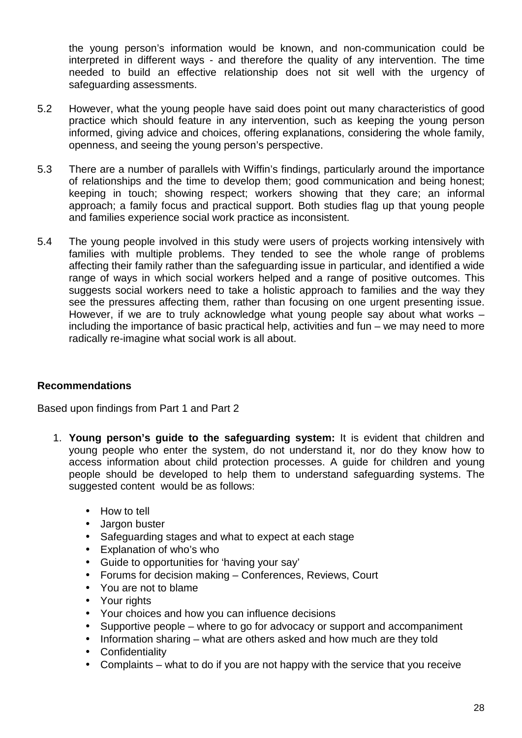the young person's information would be known, and non-communication could be interpreted in different ways - and therefore the quality of any intervention. The time needed to build an effective relationship does not sit well with the urgency of safeguarding assessments.

- 5.2 However, what the young people have said does point out many characteristics of good practice which should feature in any intervention, such as keeping the young person informed, giving advice and choices, offering explanations, considering the whole family, openness, and seeing the young person's perspective.
- 5.3 There are a number of parallels with Wiffin's findings, particularly around the importance of relationships and the time to develop them; good communication and being honest; keeping in touch; showing respect; workers showing that they care; an informal approach; a family focus and practical support. Both studies flag up that young people and families experience social work practice as inconsistent.
- 5.4 The young people involved in this study were users of projects working intensively with families with multiple problems. They tended to see the whole range of problems affecting their family rather than the safeguarding issue in particular, and identified a wide range of ways in which social workers helped and a range of positive outcomes. This suggests social workers need to take a holistic approach to families and the way they see the pressures affecting them, rather than focusing on one urgent presenting issue. However, if we are to truly acknowledge what young people say about what works – including the importance of basic practical help, activities and fun – we may need to more radically re-imagine what social work is all about.

## **Recommendations**

Based upon findings from Part 1 and Part 2

- 1. **Young person's guide to the safeguarding system:** It is evident that children and young people who enter the system, do not understand it, nor do they know how to access information about child protection processes. A guide for children and young people should be developed to help them to understand safeguarding systems. The suggested content would be as follows:
	- How to tell
	- Jargon buster
	- Safeguarding stages and what to expect at each stage
	- Explanation of who's who
	- Guide to opportunities for 'having your say'  $\mathcal{L}^{\mathcal{L}}$
	- Forums for decision making Conferences, Reviews, Court
	- You are not to blame
	- Your rights
	- Your choices and how you can influence decisions
	- Supportive people where to go for advocacy or support and accompaniment  $\mathcal{L}^{\mathcal{L}}$
	- Information sharing what are others asked and how much are they told
	- **Confidentiality**
	- Complaints what to do if you are not happy with the service that you receive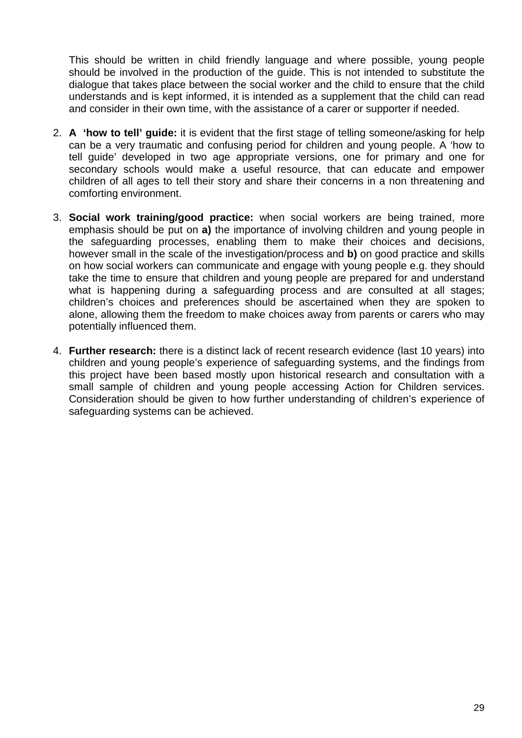This should be written in child friendly language and where possible, young people should be involved in the production of the guide. This is not intended to substitute the dialogue that takes place between the social worker and the child to ensure that the child understands and is kept informed, it is intended as a supplement that the child can read and consider in their own time, with the assistance of a carer or supporter if needed.

- 2. **A 'how to tell' guide:** it is evident that the first stage of telling someone/asking for help can be a very traumatic and confusing period for children and young people. A 'how to tell guide' developed in two age appropriate versions, one for primary and one for secondary schools would make a useful resource, that can educate and empower children of all ages to tell their story and share their concerns in a non threatening and comforting environment.
- 3. **Social work training/good practice:** when social workers are being trained, more emphasis should be put on **a)** the importance of involving children and young people in the safeguarding processes, enabling them to make their choices and decisions, however small in the scale of the investigation/process and **b)** on good practice and skills on how social workers can communicate and engage with young people e.g. they should take the time to ensure that children and young people are prepared for and understand what is happening during a safeguarding process and are consulted at all stages; children's choices and preferences should be ascertained when they are spoken to alone, allowing them the freedom to make choices away from parents or carers who may potentially influenced them.
- 4. **Further research:** there is a distinct lack of recent research evidence (last 10 years) into children and young people's experience of safeguarding systems, and the findings from this project have been based mostly upon historical research and consultation with a small sample of children and young people accessing Action for Children services. Consideration should be given to how further understanding of children's experience of safeguarding systems can be achieved.